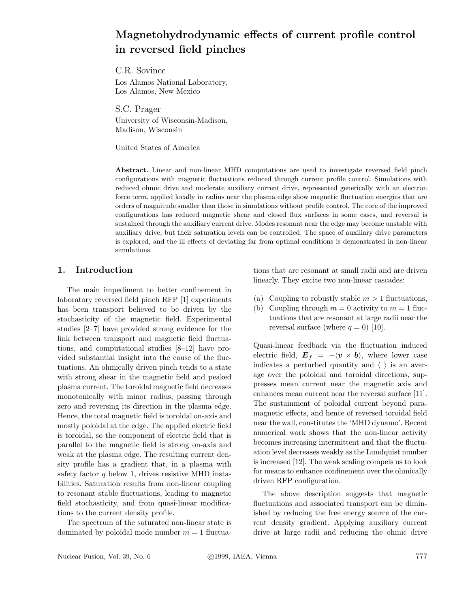# **Magnetohydrodynamic effects of current profile control in reversed field pinches**

C.R. Sovinec

Los Alamos National Laboratory, Los Alamos, New Mexico

S.C. Prager University of Wisconsin-Madison, Madison, Wisconsin

United States of America

**Abstract.** Linear and non-linear MHD computations are used to investigate reversed field pinch configurations with magnetic fluctuations reduced through current profile control. Simulations with reduced ohmic drive and moderate auxiliary current drive, represented generically with an electron force term, applied locally in radius near the plasma edge show magnetic fluctuation energies that are orders of magnitude smaller than those in simulations without profile control. The core of the improved configurations has reduced magnetic shear and closed flux surfaces in some cases, and reversal is sustained through the auxiliary current drive. Modes resonant near the edge may become unstable with auxiliary drive, but their saturation levels can be controlled. The space of auxiliary drive parameters is explored, and the ill effects of deviating far from optimal conditions is demonstrated in non-linear simulations.

## **1. Introduction**

The main impediment to better confinement in laboratory reversed field pinch RFP [1] experiments has been transport believed to be driven by the stochasticity of the magnetic field. Experimental studies [2–7] have provided strong evidence for the link between transport and magnetic field fluctuations, and computational studies [8–12] have provided substantial insight into the cause of the fluctuations. An ohmically driven pinch tends to a state with strong shear in the magnetic field and peaked plasma current. The toroidal magnetic field decreases monotonically with minor radius, passing through zero and reversing its direction in the plasma edge. Hence, the total magnetic field is toroidal on-axis and mostly poloidal at the edge. The applied electric field is toroidal, so the component of electric field that is parallel to the magnetic field is strong on-axis and weak at the plasma edge. The resulting current density profile has a gradient that, in a plasma with safety factor  $q$  below 1, drives resistive MHD instabilities. Saturation results from non-linear coupling to resonant stable fluctuations, leading to magnetic field stochasticity, and from quasi-linear modifications to the current density profile.

The spectrum of the saturated non-linear state is dominated by poloidal mode number  $m = 1$  fluctuations that are resonant at small radii and are driven linearly. They excite two non-linear cascades:

- (a) Coupling to robustly stable  $m > 1$  fluctuations,
- (b) Coupling through  $m = 0$  activity to  $m = 1$  fluctuations that are resonant at large radii near the reversal surface (where  $q = 0$ ) [10].

Quasi-linear feedback via the fluctuation induced electric field,  $E_f = -\langle v \times b \rangle$ , where lower case indicates a perturbed quantity and  $\langle \ \rangle$  is an average over the poloidal and toroidal directions, suppresses mean current near the magnetic axis and enhances mean current near the reversal surface [11]. The sustainment of poloidal current beyond paramagnetic effects, and hence of reversed toroidal field near the wall, constitutes the 'MHD dynamo'. Recent numerical work shows that the non-linear activity becomes increasing intermittent and that the fluctuation level decreases weakly as the Lundquist number is increased [12]. The weak scaling compels us to look for means to enhance confinement over the ohmically driven RFP configuration.

The above description suggests that magnetic fluctuations and associated transport can be diminished by reducing the free energy source of the current density gradient. Applying auxiliary current drive at large radii and reducing the ohmic drive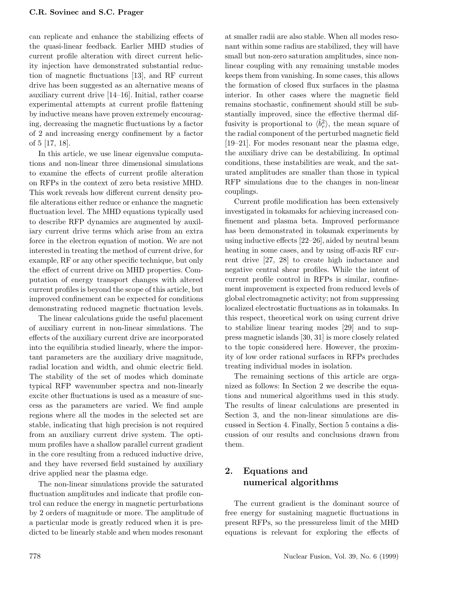can replicate and enhance the stabilizing effects of the quasi-linear feedback. Earlier MHD studies of current profile alteration with direct current helicity injection have demonstrated substantial reduction of magnetic fluctuations [13], and RF current drive has been suggested as an alternative means of auxiliary current drive [14–16]. Initial, rather coarse experimental attempts at current profile flattening by inductive means have proven extremely encouraging, decreasing the magnetic fluctuations by a factor of 2 and increasing energy confinement by a factor of 5 [17, 18].

In this article, we use linear eigenvalue computations and non-linear three dimensional simulations to examine the effects of current profile alteration on RFPs in the context of zero beta resistive MHD. This work reveals how different current density profile alterations either reduce or enhance the magnetic fluctuation level. The MHD equations typically used to describe RFP dynamics are augmented by auxiliary current drive terms which arise from an extra force in the electron equation of motion. We are not interested in treating the method of current drive, for example, RF or any other specific technique, but only the effect of current drive on MHD properties. Computation of energy transport changes with altered current profiles is beyond the scope of this article, but improved confinement can be expected for conditions demonstrating reduced magnetic fluctuation levels.

The linear calculations guide the useful placement of auxiliary current in non-linear simulations. The effects of the auxiliary current drive are incorporated into the equilibria studied linearly, where the important parameters are the auxiliary drive magnitude, radial location and width, and ohmic electric field. The stability of the set of modes which dominate typical RFP wavenumber spectra and non-linearly excite other fluctuations is used as a measure of success as the parameters are varied. We find ample regions where all the modes in the selected set are stable, indicating that high precision is not required from an auxiliary current drive system. The optimum profiles have a shallow parallel current gradient in the core resulting from a reduced inductive drive, and they have reversed field sustained by auxiliary drive applied near the plasma edge.

The non-linear simulations provide the saturated fluctuation amplitudes and indicate that profile control can reduce the energy in magnetic perturbations by 2 orders of magnitude or more. The amplitude of a particular mode is greatly reduced when it is predicted to be linearly stable and when modes resonant

at smaller radii are also stable. When all modes resonant within some radius are stabilized, they will have small but non-zero saturation amplitudes, since nonlinear coupling with any remaining unstable modes keeps them from vanishing. In some cases, this allows the formation of closed flux surfaces in the plasma interior. In other cases where the magnetic field remains stochastic, confinement should still be substantially improved, since the effective thermal diffusivity is proportional to  $\langle \tilde{b}_r^2 \rangle$ , the mean square of the radial component of the perturbed magnetic field [19–21]. For modes resonant near the plasma edge, the auxiliary drive can be destabilizing. In optimal conditions, these instabilities are weak, and the saturated amplitudes are smaller than those in typical RFP simulations due to the changes in non-linear couplings.

Current profile modification has been extensively investigated in tokamaks for achieving increased confinement and plasma beta. Improved performance has been demonstrated in tokamak experiments by using inductive effects [22–26], aided by neutral beam heating in some cases, and by using off-axis RF current drive [27, 28] to create high inductance and negative central shear profiles. While the intent of current profile control in RFPs is similar, confinement improvement is expected from reduced levels of global electromagnetic activity; not from suppressing localized electrostatic fluctuations as in tokamaks. In this respect, theoretical work on using current drive to stabilize linear tearing modes [29] and to suppress magnetic islands [30, 31] is more closely related to the topic considered here. However, the proximity of low order rational surfaces in RFPs precludes treating individual modes in isolation.

The remaining sections of this article are organized as follows: In Section 2 we describe the equations and numerical algorithms used in this study. The results of linear calculations are presented in Section 3, and the non-linear simulations are discussed in Section 4. Finally, Section 5 contains a discussion of our results and conclusions drawn from them.

## **2. Equations and numerical algorithms**

The current gradient is the dominant source of free energy for sustaining magnetic fluctuations in present RFPs, so the pressureless limit of the MHD equations is relevant for exploring the effects of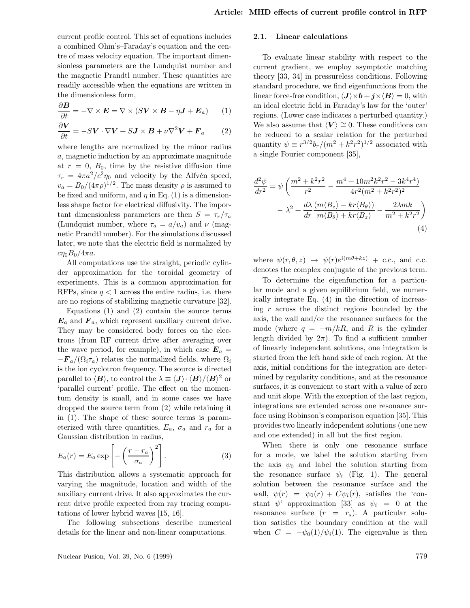current profile control. This set of equations includes a combined Ohm's–Faraday's equation and the centre of mass velocity equation. The important dimensionless parameters are the Lundquist number and the magnetic Prandtl number. These quantities are readily accessible when the equations are written in the dimensionless form,

$$
\frac{\partial \boldsymbol{B}}{\partial t} = -\nabla \times \boldsymbol{E} = \nabla \times (S\boldsymbol{V} \times \boldsymbol{B} - \eta \boldsymbol{J} + \boldsymbol{E}_a) \qquad (1)
$$

$$
\frac{\partial V}{\partial t} = -SV \cdot \nabla V + SJ \times B + \nu \nabla^2 V + F_a \qquad (2)
$$

where lengths are normalized by the minor radius a, magnetic induction by an approximate magnitude at  $r = 0$ ,  $B_0$ , time by the resistive diffusion time  $\tau_r = 4\pi a^2/c^2 \eta_0$  and velocity by the Alfvén speed,  $v_a = B_0/(4\pi\rho)^{1/2}$ . The mass density  $\rho$  is assumed to be fixed and uniform, and  $\eta$  in Eq. (1) is a dimensionless shape factor for electrical diffusivity. The important dimensionless parameters are then  $S = \tau_r/\tau_a$ (Lundquist number, where  $\tau_a = a/v_a$ ) and  $\nu$  (magnetic Prandtl number). For the simulations discussed later, we note that the electric field is normalized by cη<sub>0</sub> $B_0/4πa$ .

All computations use the straight, periodic cylinder approximation for the toroidal geometry of experiments. This is a common approximation for RFPs, since  $q < 1$  across the entire radius, i.e. there are no regions of stabilizing magnetic curvature [32].

Equations (1) and (2) contain the source terms  $E_a$  and  $F_a$ , which represent auxiliary current drive. They may be considered body forces on the electrons (from RF current drive after averaging over the wave period, for example), in which case  $E_a =$  $-F_a/(\Omega_i \tau_a)$  relates the normalized fields, where  $\Omega_i$ is the ion cyclotron frequency. The source is directed parallel to  $\langle \mathbf{B} \rangle$ , to control the  $\lambda \equiv \langle \mathbf{J} \rangle \cdot \langle \mathbf{B} \rangle / \langle \mathbf{B} \rangle^2$  or 'parallel current' profile. The effect on the momentum density is small, and in some cases we have dropped the source term from (2) while retaining it in (1). The shape of these source terms is parameterized with three quantities,  $E_a$ ,  $\sigma_a$  and  $r_a$  for a Gaussian distribution in radius,

$$
E_a(r) = E_a \exp\left[-\left(\frac{r - r_a}{\sigma_a}\right)^2\right].
$$
 (3)

This distribution allows a systematic approach for varying the magnitude, location and width of the auxiliary current drive. It also approximates the current drive profile expected from ray tracing computations of lower hybrid waves [15, 16].

The following subsections describe numerical details for the linear and non-linear computations.

## **2.1. Linear calculations**

To evaluate linear stability with respect to the current gradient, we employ asymptotic matching theory [33, 34] in pressureless conditions. Following standard procedure, we find eigenfunctions from the linear force-free condition,  $\langle J \rangle \times b + j \times \langle B \rangle = 0$ , with an ideal electric field in Faraday's law for the 'outer' regions. (Lower case indicates a perturbed quantity.) We also assume that  $\langle V \rangle \cong 0$ . These conditions can be reduced to a scalar relation for the perturbed quantity  $\psi \equiv r^{3/2} b_r/(m^2 + k^2 r^2)^{1/2}$  associated with a single Fourier component [35],

$$
\frac{d^2\psi}{dr^2} = \psi \left( \frac{m^2 + k^2r^2}{r^2} - \frac{m^4 + 10m^2k^2r^2 - 3k^4r^4}{4r^2(m^2 + k^2r^2)^2} - \lambda^2 + \frac{d\lambda}{dr} \frac{(m\langle B_z \rangle - kr\langle B_\theta \rangle)}{m\langle B_\theta \rangle + kr\langle B_z \rangle} - \frac{2\lambda mk}{m^2 + k^2r^2} \right)
$$
\n(4)

where  $\psi(r,\theta,z) \rightarrow \psi(r)e^{i(m\theta+kz)} + \text{c.c., and c.c.}$ denotes the complex conjugate of the previous term.

To determine the eigenfunction for a particular mode and a given equilibrium field, we numerically integrate Eq. (4) in the direction of increasing  $r$  across the distinct regions bounded by the axis, the wall and/or the resonance surfaces for the mode (where  $q = -m/kR$ , and R is the cylinder length divided by  $2\pi$ ). To find a sufficient number of linearly independent solutions, one integration is started from the left hand side of each region. At the axis, initial conditions for the integration are determined by regularity conditions, and at the resonance surfaces, it is convenient to start with a value of zero and unit slope. With the exception of the last region, integrations are extended across one resonance surface using Robinson's comparison equation [35]. This provides two linearly independent solutions (one new and one extended) in all but the first region.

When there is only one resonance surface for a mode, we label the solution starting from the axis  $\psi_0$  and label the solution starting from the resonance surface  $\psi_i$  (Fig. 1). The general solution between the resonance surface and the wall,  $\psi(r) = \psi_0(r) + C\psi_i(r)$ , satisfies the 'constant  $\psi$  approximation [33] as  $\psi_i = 0$  at the resonance surface  $(r = r_s)$ . A particular solution satisfies the boundary condition at the wall when  $C = -\psi_0(1)/\psi_i(1)$ . The eigenvalue is then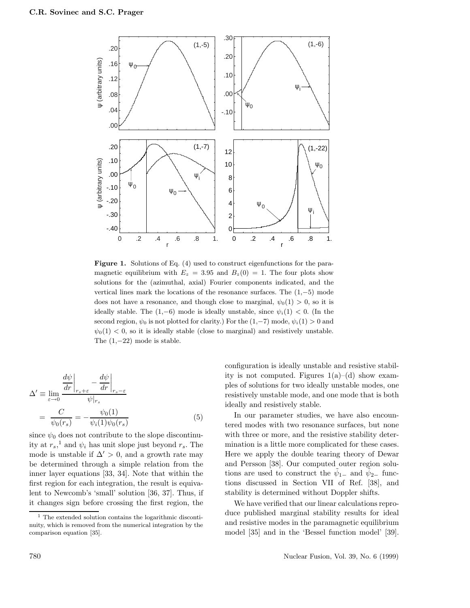

**Figure 1.** Solutions of Eq. (4) used to construct eigenfunctions for the paramagnetic equilibrium with  $E_z = 3.95$  and  $B_z(0) = 1$ . The four plots show solutions for the (azimuthal, axial) Fourier components indicated, and the vertical lines mark the locations of the resonance surfaces. The (1,−5) mode does not have a resonance, and though close to marginal,  $\psi_0(1) > 0$ , so it is ideally stable. The (1,–6) mode is ideally unstable, since  $\psi_i(1) < 0$ . (In the second region,  $\psi_0$  is not plotted for clarity.) For the  $(1,−7)$  mode,  $\psi_i(1) > 0$  and  $\psi_0(1)$  < 0, so it is ideally stable (close to marginal) and resistively unstable. The  $(1, -22)$  mode is stable.

$$
\Delta' \equiv \lim_{\varepsilon \to 0} \frac{\frac{d\psi}{dr}\Big|_{r_s + \varepsilon} - \frac{d\psi}{dr}\Big|_{r_s - \varepsilon}}{\psi|_{r_s}} \n= \frac{C}{\psi_0(r_s)} = -\frac{\psi_0(1)}{\psi_i(1)\psi_0(r_s)}
$$
\n(5)

since  $\psi_0$  does not contribute to the slope discontinuity at  $r_s$ ,<sup>1</sup> and  $\psi_i$  has unit slope just beyond  $r_s$ . The mode is unstable if  $\Delta' > 0$ , and a growth rate may be determined through a simple relation from the inner layer equations [33, 34]. Note that within the first region for each integration, the result is equivalent to Newcomb's 'small' solution [36, 37]. Thus, if it changes sign before crossing the first region, the configuration is ideally unstable and resistive stability is not computed. Figures  $1(a)$ – $(d)$  show examples of solutions for two ideally unstable modes, one resistively unstable mode, and one mode that is both ideally and resistively stable.

In our parameter studies, we have also encountered modes with two resonance surfaces, but none with three or more, and the resistive stability determination is a little more complicated for these cases. Here we apply the double tearing theory of Dewar and Persson [38]. Our computed outer region solutions are used to construct the  $\psi_{1-}$  and  $\psi_{2-}$  functions discussed in Section VII of Ref. [38], and stability is determined without Doppler shifts.

We have verified that our linear calculations reproduce published marginal stability results for ideal and resistive modes in the paramagnetic equilibrium model [35] and in the 'Bessel function model' [39].

 $<sup>1</sup>$  The extended solution contains the logarithmic disconti-</sup> nuity, which is removed from the numerical integration by the comparison equation [35].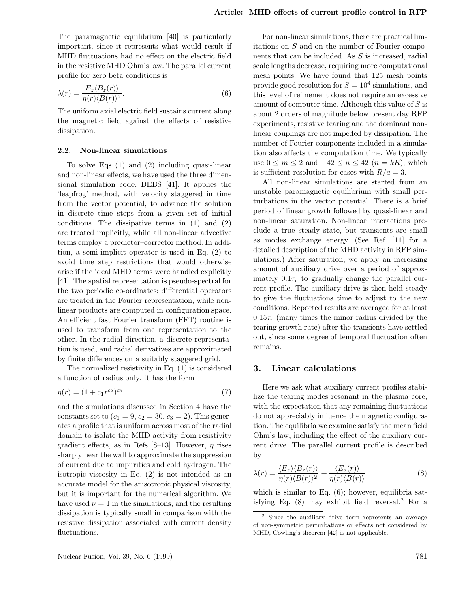The paramagnetic equilibrium [40] is particularly important, since it represents what would result if MHD fluctuations had no effect on the electric field in the resistive MHD Ohm's law. The parallel current profile for zero beta conditions is

$$
\lambda(r) = \frac{E_z \langle B_z(r) \rangle}{\eta(r) \langle B(r) \rangle^2}.
$$
\n(6)

The uniform axial electric field sustains current along the magnetic field against the effects of resistive dissipation.

#### **2.2. Non-linear simulations**

To solve Eqs (1) and (2) including quasi-linear and non-linear effects, we have used the three dimensional simulation code, DEBS [41]. It applies the 'leapfrog' method, with velocity staggered in time from the vector potential, to advance the solution in discrete time steps from a given set of initial conditions. The dissipative terms in (1) and (2) are treated implicitly, while all non-linear advective terms employ a predictor–corrector method. In addition, a semi-implicit operator is used in Eq. (2) to avoid time step restrictions that would otherwise arise if the ideal MHD terms were handled explicitly [41]. The spatial representation is pseudo-spectral for the two periodic co-ordinates: differential operators are treated in the Fourier representation, while nonlinear products are computed in configuration space. An efficient fast Fourier transform (FFT) routine is used to transform from one representation to the other. In the radial direction, a discrete representation is used, and radial derivatives are approximated by finite differences on a suitably staggered grid.

The normalized resistivity in Eq. (1) is considered a function of radius only. It has the form

$$
\eta(r) = (1 + c_1 r^{c_2})^{c_3} \tag{7}
$$

and the simulations discussed in Section 4 have the constants set to  $(c_1 = 9, c_2 = 30, c_3 = 2)$ . This generates a profile that is uniform across most of the radial domain to isolate the MHD activity from resistivity gradient effects, as in Refs [8–13]. However,  $\eta$  rises sharply near the wall to approximate the suppression of current due to impurities and cold hydrogen. The isotropic viscosity in Eq. (2) is not intended as an accurate model for the anisotropic physical viscosity, but it is important for the numerical algorithm. We have used  $\nu = 1$  in the simulations, and the resulting dissipation is typically small in comparison with the resistive dissipation associated with current density fluctuations.

For non-linear simulations, there are practical limitations on S and on the number of Fourier components that can be included. As S is increased, radial scale lengths decrease, requiring more computational mesh points. We have found that 125 mesh points provide good resolution for  $S = 10^4$  simulations, and this level of refinement does not require an excessive amount of computer time. Although this value of S is about 2 orders of magnitude below present day RFP experiments, resistive tearing and the dominant nonlinear couplings are not impeded by dissipation. The number of Fourier components included in a simulation also affects the computation time. We typically use  $0 \le m \le 2$  and  $-42 \le n \le 42$   $(n = kR)$ , which is sufficient resolution for cases with  $R/a = 3$ .

All non-linear simulations are started from an unstable paramagnetic equilibrium with small perturbations in the vector potential. There is a brief period of linear growth followed by quasi-linear and non-linear saturation. Non-linear interactions preclude a true steady state, but transients are small as modes exchange energy. (See Ref. [11] for a detailed description of the MHD activity in RFP simulations.) After saturation, we apply an increasing amount of auxiliary drive over a period of approximately  $0.1\tau_r$  to gradually change the parallel current profile. The auxiliary drive is then held steady to give the fluctuations time to adjust to the new conditions. Reported results are averaged for at least  $0.15\tau_r$  (many times the minor radius divided by the tearing growth rate) after the transients have settled out, since some degree of temporal fluctuation often remains.

## **3. Linear calculations**

Here we ask what auxiliary current profiles stabilize the tearing modes resonant in the plasma core, with the expectation that any remaining fluctuations do not appreciably influence the magnetic configuration. The equilibria we examine satisfy the mean field Ohm's law, including the effect of the auxiliary current drive. The parallel current profile is described by

$$
\lambda(r) = \frac{\langle E_z \rangle \langle B_z(r) \rangle}{\eta(r) \langle B(r) \rangle^2} + \frac{\langle E_a(r) \rangle}{\eta(r) \langle B(r) \rangle} \tag{8}
$$

which is similar to Eq.  $(6)$ ; however, equilibria satisfying Eq. (8) may exhibit field reversal.<sup>2</sup> For a

<sup>2</sup> Since the auxiliary drive term represents an average of non-symmetric perturbations or effects not considered by MHD, Cowling's theorem [42] is not applicable.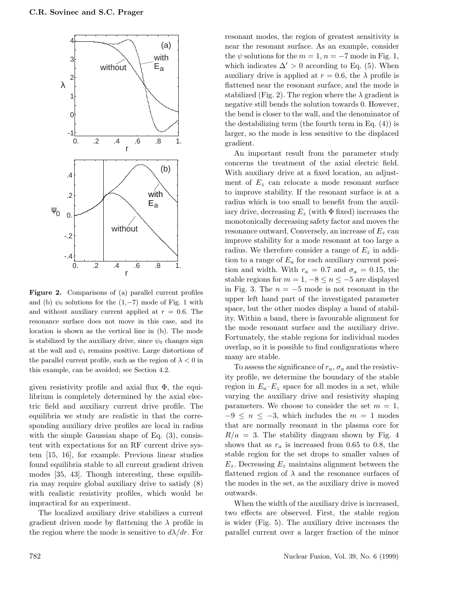

**Figure 2.** Comparisons of (a) parallel current profiles and (b)  $\psi_0$  solutions for the (1,–7) mode of Fig. 1 with and without auxiliary current applied at  $r = 0.6$ . The resonance surface does not move in this case, and its location is shown as the vertical line in (b). The mode is stabilized by the auxiliary drive, since  $\psi_0$  changes sign at the wall and  $\psi_i$  remains positive. Large distortions of the parallel current profile, such as the region of  $\lambda < 0$  in this example, can be avoided; see Section 4.2.

given resistivity profile and axial flux Φ, the equilibrium is completely determined by the axial electric field and auxiliary current drive profile. The equilibria we study are realistic in that the corresponding auxiliary drive profiles are local in radius with the simple Gaussian shape of Eq.  $(3)$ , consistent with expectations for an RF current drive system [15, 16], for example. Previous linear studies found equilibria stable to all current gradient driven modes [35, 43]. Though interesting, these equilibria may require global auxiliary drive to satisfy (8) with realistic resistivity profiles, which would be impractical for an experiment.

The localized auxiliary drive stabilizes a current gradient driven mode by flattening the  $\lambda$  profile in the region where the mode is sensitive to  $d\lambda/dr$ . For

resonant modes, the region of greatest sensitivity is near the resonant surface. As an example, consider the  $\psi$  solutions for the  $m = 1$ ,  $n = -7$  mode in Fig. 1, which indicates  $\Delta' > 0$  according to Eq. (5). When auxiliary drive is applied at  $r = 0.6$ , the  $\lambda$  profile is flattened near the resonant surface, and the mode is stabilized (Fig. 2). The region where the  $\lambda$  gradient is negative still bends the solution towards 0. However, the bend is closer to the wall, and the denominator of the destabilizing term (the fourth term in Eq.  $(4)$ ) is larger, so the mode is less sensitive to the displaced gradient.

An important result from the parameter study concerns the treatment of the axial electric field. With auxiliary drive at a fixed location, an adjustment of  $E<sub>z</sub>$  can relocate a mode resonant surface to improve stability. If the resonant surface is at a radius which is too small to benefit from the auxiliary drive, decreasing  $E_z$  (with  $\Phi$  fixed) increases the monotonically decreasing safety factor and moves the resonance outward. Conversely, an increase of  $E<sub>z</sub>$  can improve stability for a mode resonant at too large a radius. We therefore consider a range of  $E<sub>z</sub>$  in addition to a range of  $E_a$  for each auxiliary current position and width. With  $r_a = 0.7$  and  $\sigma_a = 0.15$ , the stable regions for  $m = 1, -8 \le n \le -5$  are displayed in Fig. 3. The  $n = -5$  mode is not resonant in the upper left hand part of the investigated parameter space, but the other modes display a band of stability. Within a band, there is favourable alignment for the mode resonant surface and the auxiliary drive. Fortunately, the stable regions for individual modes overlap, so it is possible to find configurations where many are stable.

To assess the significance of  $r_a$ ,  $\sigma_a$  and the resistivity profile, we determine the boundary of the stable region in  $E_a-E_z$  space for all modes in a set, while varying the auxiliary drive and resistivity shaping parameters. We choose to consider the set  $m = 1$ ,  $-9 \leq n \leq -3$ , which includes the  $m = 1$  modes that are normally resonant in the plasma core for  $R/a = 3$ . The stability diagram shown by Fig. 4 shows that as  $r_a$  is increased from 0.65 to 0.8, the stable region for the set drops to smaller values of  $E_z$ . Decreasing  $E_z$  maintains alignment between the flattened region of  $\lambda$  and the resonance surfaces of the modes in the set, as the auxiliary drive is moved outwards.

When the width of the auxiliary drive is increased, two effects are observed. First, the stable region is wider (Fig. 5). The auxiliary drive increases the parallel current over a larger fraction of the minor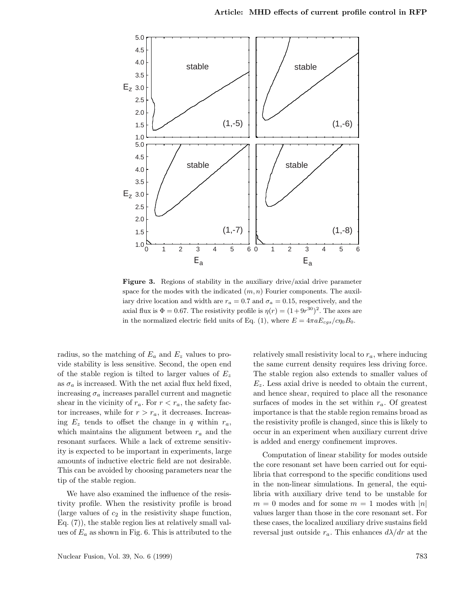

**Figure 3.** Regions of stability in the auxiliary drive/axial drive parameter space for the modes with the indicated  $(m, n)$  Fourier components. The auxiliary drive location and width are  $r_a = 0.7$  and  $\sigma_a = 0.15$ , respectively, and the axial flux is  $\Phi = 0.67$ . The resistivity profile is  $\eta(r) = (1+9r^{30})^2$ . The axes are in the normalized electric field units of Eq. (1), where  $E = 4\pi a E_{cgs}/c\eta_0 B_0$ .

radius, so the matching of  $E_a$  and  $E_z$  values to provide stability is less sensitive. Second, the open end of the stable region is tilted to larger values of  $E_z$ as  $\sigma_a$  is increased. With the net axial flux held fixed, increasing  $\sigma_a$  increases parallel current and magnetic shear in the vicinity of  $r_a$ . For  $r < r_a$ , the safety factor increases, while for  $r>r_a$ , it decreases. Increasing  $E_z$  tends to offset the change in q within  $r_a$ , which maintains the alignment between  $r_a$  and the resonant surfaces. While a lack of extreme sensitivity is expected to be important in experiments, large amounts of inductive electric field are not desirable. This can be avoided by choosing parameters near the tip of the stable region.

We have also examined the influence of the resistivity profile. When the resistivity profile is broad (large values of  $c_2$  in the resistivity shape function, Eq. (7)), the stable region lies at relatively small values of  $E_a$  as shown in Fig. 6. This is attributed to the

relatively small resistivity local to  $r_a$ , where inducing the same current density requires less driving force. The stable region also extends to smaller values of  $E_z$ . Less axial drive is needed to obtain the current, and hence shear, required to place all the resonance surfaces of modes in the set within  $r_a$ . Of greatest importance is that the stable region remains broad as the resistivity profile is changed, since this is likely to occur in an experiment when auxiliary current drive is added and energy confinement improves.

Computation of linear stability for modes outside the core resonant set have been carried out for equilibria that correspond to the specific conditions used in the non-linear simulations. In general, the equilibria with auxiliary drive tend to be unstable for  $m = 0$  modes and for some  $m = 1$  modes with  $|n|$ values larger than those in the core resonant set. For these cases, the localized auxiliary drive sustains field reversal just outside  $r_a$ . This enhances  $d\lambda/dr$  at the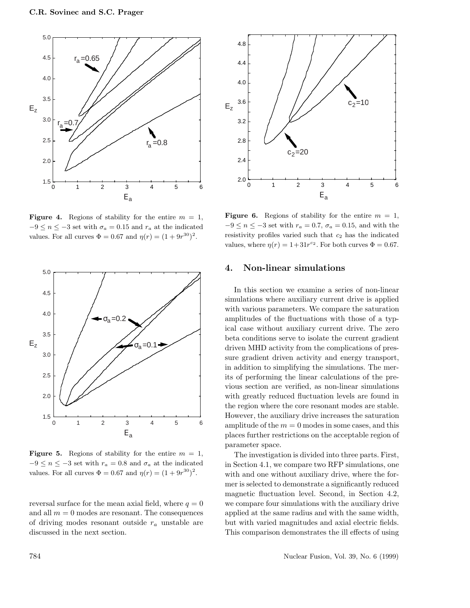

**Figure 4.** Regions of stability for the entire  $m = 1$ ,  $-9 \le n \le -3$  set with  $\sigma_a = 0.15$  and  $r_a$  at the indicated values. For all curves  $\Phi = 0.67$  and  $\eta(r) = (1 + 9r^{30})^2$ .



**Figure 5.** Regions of stability for the entire  $m = 1$ ,  $-9 \le n \le -3$  set with  $r_a = 0.8$  and  $\sigma_a$  at the indicated values. For all curves  $\Phi = 0.67$  and  $\eta(r) = (1 + 9r^{30})^2$ .

reversal surface for the mean axial field, where  $q = 0$ and all  $m = 0$  modes are resonant. The consequences of driving modes resonant outside  $r_a$  unstable are discussed in the next section.



**Figure 6.** Regions of stability for the entire  $m = 1$ ,  $-9 \le n \le -3$  set with  $r_a = 0.7$ ,  $\sigma_a = 0.15$ , and with the resistivity profiles varied such that  $c_2$  has the indicated values, where  $\eta(r) = 1+31r^{c_2}$ . For both curves  $\Phi = 0.67$ .

### **4. Non-linear simulations**

In this section we examine a series of non-linear simulations where auxiliary current drive is applied with various parameters. We compare the saturation amplitudes of the fluctuations with those of a typical case without auxiliary current drive. The zero beta conditions serve to isolate the current gradient driven MHD activity from the complications of pressure gradient driven activity and energy transport, in addition to simplifying the simulations. The merits of performing the linear calculations of the previous section are verified, as non-linear simulations with greatly reduced fluctuation levels are found in the region where the core resonant modes are stable. However, the auxiliary drive increases the saturation amplitude of the  $m = 0$  modes in some cases, and this places further restrictions on the acceptable region of parameter space.

The investigation is divided into three parts. First, in Section 4.1, we compare two RFP simulations, one with and one without auxiliary drive, where the former is selected to demonstrate a significantly reduced magnetic fluctuation level. Second, in Section 4.2, we compare four simulations with the auxiliary drive applied at the same radius and with the same width, but with varied magnitudes and axial electric fields. This comparison demonstrates the ill effects of using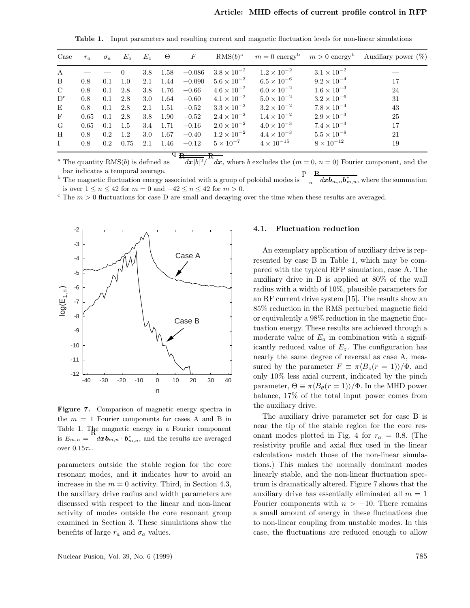|  | <b>Table 1.</b> Input parameters and resulting current and magnetic fluctuation levels for non-linear simulations |  |  |  |  |  |  |
|--|-------------------------------------------------------------------------------------------------------------------|--|--|--|--|--|--|
|--|-------------------------------------------------------------------------------------------------------------------|--|--|--|--|--|--|

| Case          | $r_a$ | $\sigma_a$ | $E_a$    | $E_z$ | $\Theta$ | $\,F$    | $RMS(b)^a$           |                      |                      | $m = 0$ energy <sup>b</sup> $m > 0$ energy <sup>b</sup> Auxiliary power $(\%)$ |
|---------------|-------|------------|----------|-------|----------|----------|----------------------|----------------------|----------------------|--------------------------------------------------------------------------------|
| A             |       |            | $\Omega$ | 3.8   | 1.58     | $-0.086$ | $3.8 \times 10^{-2}$ | $1.2 \times 10^{-2}$ | $3.1 \times 10^{-2}$ |                                                                                |
| B             | 0.8   | 0.1        | 1.0      | 2.1   | 1.44     | $-0.090$ | $5.6 \times 10^{-3}$ | $6.5 \times 10^{-6}$ | $9.2 \times 10^{-4}$ | 17                                                                             |
| $\mathcal{C}$ | 0.8   | 0.1        | 2.8      | 3.8   | 1.76     | $-0.66$  | $4.6 \times 10^{-2}$ | $6.0 \times 10^{-2}$ | $1.6 \times 10^{-3}$ | 24                                                                             |
| $D^{\rm c}$   | 0.8   | 0.1        | 2.8      | 3.0   | 1.64     | $-0.60$  | $4.1 \times 10^{-2}$ | $5.0 \times 10^{-2}$ | $3.2 \times 10^{-6}$ | 31                                                                             |
| E             | 0.8   | 0.1        | 2.8      | 2.1   | 1.51     | $-0.52$  | $3.3 \times 10^{-2}$ | $3.2 \times 10^{-2}$ | $7.8 \times 10^{-4}$ | 43                                                                             |
| $\mathbf{F}$  | 0.65  | 0.1        | 2.8      | 3.8   | 1.90     | $-0.52$  | $2.4 \times 10^{-2}$ | $1.4 \times 10^{-2}$ | $2.9 \times 10^{-3}$ | 25                                                                             |
| G             | 0.65  | 0.1        | 1.5      | 3.4   | 1.71     | $-0.16$  | $2.0 \times 10^{-2}$ | $4.0 \times 10^{-3}$ | $7.4 \times 10^{-3}$ | 17                                                                             |
| H             | 0.8   | 0.2        | 1.2      | 3.0   | 1.67     | $-0.40$  | $1.2 \times 10^{-2}$ | $4.4 \times 10^{-3}$ | $5.5 \times 10^{-8}$ | 21                                                                             |
| $\mathbf{I}$  | 0.8   | $0.2\,$    | 0.75     | 2.1   | 1.46     | $-0.12$  | $5 \times 10^{-7}$   | $4 \times 10^{-15}$  | $8 \times 10^{-12}$  | 19                                                                             |

<sup>a</sup> The quantity  $RMS(b)$  is defined as  $\overline{\phantom{a}}$  $dx|b|^2/\left|dx\right|$  $\mathcal{L}(\boldsymbol{x})$ , where b excludes the  $(m = 0, n = 0)$  Fourier component, and the bar indicates a temporal average.

<sup>b</sup> The magnetic fluctuation energy associated with a group of poloidal modes is  $\frac{d}{n} x \partial x b_{m,n} b_{m,n}^*$ , where the summation is over  $1 \le n \le 42$  for  $m = 0$  and  $-42 \le n \le 42$  for  $m > 0$ .<br><sup>c</sup> The  $m > 0$  fluctuations for case D are small and decaying over the time when these results are averaged.



**Figure 7.** Comparison of magnetic energy spectra in the  $m = 1$  Fourier components for cases A and B in Table 1. The magnetic energy in a Fourier component is  $E_{m,n} = \int d\mathbf{x} \mathbf{b}_{m,n} \cdot \mathbf{b}_{m,n}^*$ , and the results are averaged over  $0.15\tau_r$ .

parameters outside the stable region for the core resonant modes, and it indicates how to avoid an increase in the  $m = 0$  activity. Third, in Section 4.3, the auxiliary drive radius and width parameters are discussed with respect to the linear and non-linear activity of modes outside the core resonant group examined in Section 3. These simulations show the benefits of large  $r_a$  and  $\sigma_a$  values.

#### **4.1. Fluctuation reduction**

An exemplary application of auxiliary drive is represented by case B in Table 1, which may be compared with the typical RFP simulation, case A. The auxiliary drive in B is applied at 80% of the wall radius with a width of 10%, plausible parameters for an RF current drive system [15]. The results show an 85% reduction in the RMS perturbed magnetic field or equivalently a 98% reduction in the magnetic fluctuation energy. These results are achieved through a moderate value of  $E_a$  in combination with a significantly reduced value of  $E_z$ . The configuration has nearly the same degree of reversal as case A, measured by the parameter  $F \equiv \pi \langle B_z(r = 1) \rangle / \Phi$ , and only 10% less axial current, indicated by the pinch parameter,  $\Theta \equiv \pi \langle B_\theta(r=1) \rangle / \Phi$ . In the MHD power balance, 17% of the total input power comes from the auxiliary drive.

The auxiliary drive parameter set for case B is near the tip of the stable region for the core resonant modes plotted in Fig. 4 for  $r_a = 0.8$ . (The resistivity profile and axial flux used in the linear calculations match those of the non-linear simulations.) This makes the normally dominant modes linearly stable, and the non-linear fluctuation spectrum is dramatically altered. Figure 7 shows that the auxiliary drive has essentially eliminated all  $m = 1$ Fourier components with  $n > -10$ . There remains a small amount of energy in these fluctuations due to non-linear coupling from unstable modes. In this case, the fluctuations are reduced enough to allow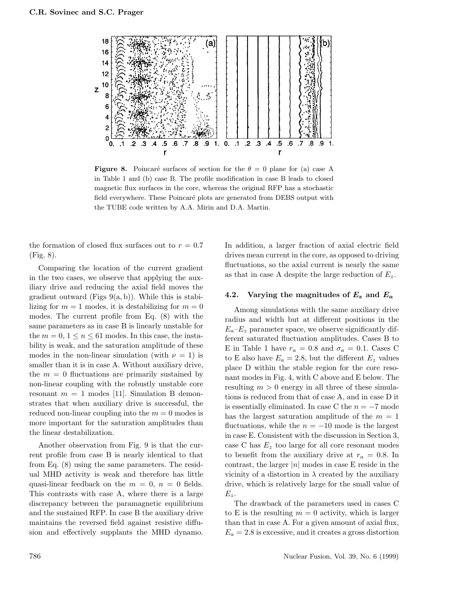

**Figure 8.** Poincaré surfaces of section for the  $\theta = 0$  plane for (a) case A in Table 1 and (b) case B. The profile modification in case B leads to closed magnetic flux surfaces in the core, whereas the original RFP has a stochastic field everywhere. These Poincaré plots are generated from DEBS output with the TUBE code written by A.A. Mirin and D.A. Martin.

the formation of closed flux surfaces out to  $r = 0.7$ (Fig. 8).

Comparing the location of the current gradient in the two cases, we observe that applying the auxiliary drive and reducing the axial field moves the gradient outward (Figs  $9(a, b)$ ). While this is stabilizing for  $m = 1$  modes, it is destabilizing for  $m = 0$ modes. The current profile from Eq. (8) with the same parameters as in case B is linearly unstable for the  $m = 0, 1 \le n \le 61$  modes. In this case, the instability is weak, and the saturation amplitude of these modes in the non-linear simulation (with  $\nu = 1$ ) is smaller than it is in case A. Without auxiliary drive, the  $m = 0$  fluctuations are primarily sustained by non-linear coupling with the robustly unstable core resonant  $m = 1$  modes [11]. Simulation B demonstrates that when auxiliary drive is successful, the reduced non-linear coupling into the  $m = 0$  modes is more important for the saturation amplitudes than the linear destabilization.

Another observation from Fig. 9 is that the current profile from case B is nearly identical to that from Eq. (8) using the same parameters. The residual MHD activity is weak and therefore has little quasi-linear feedback on the  $m = 0$ ,  $n = 0$  fields. This contrasts with case A, where there is a large discrepancy between the paramagnetic equilibrium and the sustained RFP. In case B the auxiliary drive maintains the reversed field against resistive diffusion and effectively supplants the MHD dynamo.

In addition, a larger fraction of axial electric field drives mean current in the core, as opposed to driving fluctuations, so the axial current is nearly the same as that in case A despite the large reduction of  $E_z$ .

#### **4.2. Varying the magnitudes of** *E*<sup>z</sup> **and** *E*<sup>a</sup>

Among simulations with the same auxiliary drive radius and width but at different positions in the  $E_a-E_z$  parameter space, we observe significantly different saturated fluctuation amplitudes. Cases B to E in Table 1 have  $r_a = 0.8$  and  $\sigma_a = 0.1$ . Cases C to E also have  $E_a = 2.8$ , but the different  $E_z$  values place D within the stable region for the core resonant modes in Fig. 4, with C above and E below. The resulting  $m > 0$  energy in all three of these simulations is reduced from that of case A, and in case D it is essentially eliminated. In case C the  $n = -7$  mode has the largest saturation amplitude of the  $m = 1$ fluctuations, while the  $n = -10$  mode is the largest in case E. Consistent with the discussion in Section 3, case C has  $E<sub>z</sub>$  too large for all core resonant modes to benefit from the auxiliary drive at  $r_a = 0.8$ . In contrast, the larger  $|n|$  modes in case E reside in the vicinity of a distortion in  $\lambda$  created by the auxiliary drive, which is relatively large for the small value of  $E_z$ .

The drawback of the parameters used in cases C to E is the resulting  $m = 0$  activity, which is larger than that in case A. For a given amount of axial flux,  $E_a = 2.8$  is excessive, and it creates a gross distortion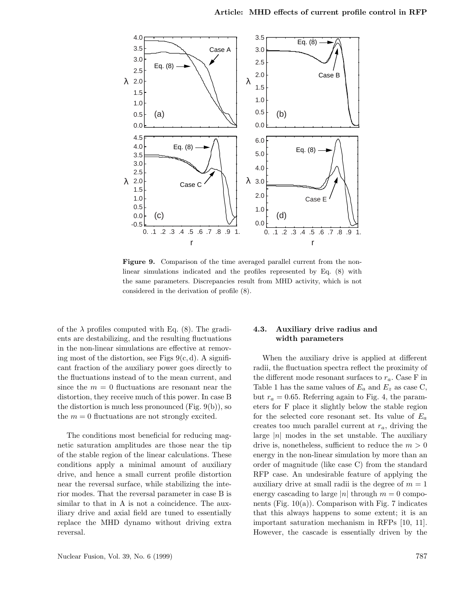

Figure 9. Comparison of the time averaged parallel current from the nonlinear simulations indicated and the profiles represented by Eq. (8) with the same parameters. Discrepancies result from MHD activity, which is not considered in the derivation of profile (8).

of the  $\lambda$  profiles computed with Eq. (8). The gradients are destabilizing, and the resulting fluctuations in the non-linear simulations are effective at removing most of the distortion, see Figs  $9(c, d)$ . A significant fraction of the auxiliary power goes directly to the fluctuations instead of to the mean current, and since the  $m = 0$  fluctuations are resonant near the distortion, they receive much of this power. In case B the distortion is much less pronounced (Fig. 9(b)), so the  $m = 0$  fluctuations are not strongly excited.

The conditions most beneficial for reducing magnetic saturation amplitudes are those near the tip of the stable region of the linear calculations. These conditions apply a minimal amount of auxiliary drive, and hence a small current profile distortion near the reversal surface, while stabilizing the interior modes. That the reversal parameter in case B is similar to that in A is not a coincidence. The auxiliary drive and axial field are tuned to essentially replace the MHD dynamo without driving extra reversal.

## **4.3. Auxiliary drive radius and width parameters**

When the auxiliary drive is applied at different radii, the fluctuation spectra reflect the proximity of the different mode resonant surfaces to  $r_a$ . Case F in Table 1 has the same values of  $E_a$  and  $E_z$  as case C, but  $r_a = 0.65$ . Referring again to Fig. 4, the parameters for F place it slightly below the stable region for the selected core resonant set. Its value of  $E_a$ creates too much parallel current at  $r_a$ , driving the large  $|n|$  modes in the set unstable. The auxiliary drive is, nonetheless, sufficient to reduce the  $m > 0$ energy in the non-linear simulation by more than an order of magnitude (like case C) from the standard RFP case. An undesirable feature of applying the auxiliary drive at small radii is the degree of  $m = 1$ energy cascading to large |n| through  $m = 0$  components (Fig.  $10(a)$ ). Comparison with Fig. 7 indicates that this always happens to some extent; it is an important saturation mechanism in RFPs [10, 11]. However, the cascade is essentially driven by the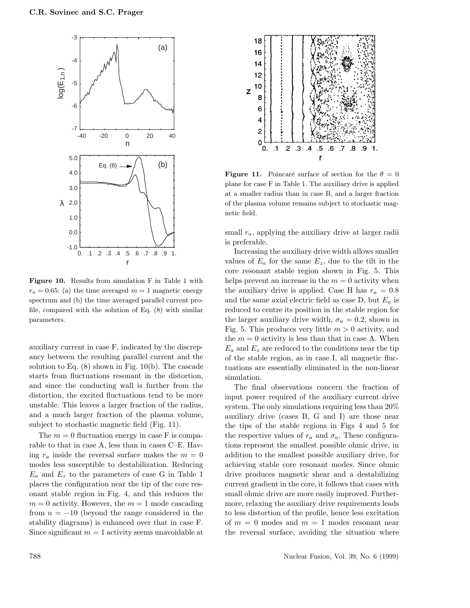

**Figure 10.** Results from simulation F in Table 1 with  $r_a = 0.65$ : (a) the time averaged  $m = 1$  magnetic energy spectrum and (b) the time averaged parallel current profile, compared with the solution of Eq. (8) with similar parameters.

auxiliary current in case F, indicated by the discrepancy between the resulting parallel current and the solution to Eq. (8) shown in Fig. 10(b). The cascade starts from fluctuations resonant in the distortion, and since the conducting wall is further from the distortion, the excited fluctuations tend to be more unstable. This leaves a larger fraction of the radius, and a much larger fraction of the plasma volume, subject to stochastic magnetic field (Fig. 11).

The  $m = 0$  fluctuation energy in case F is comparable to that in case A, less than in cases C–E. Having  $r_a$  inside the reversal surface makes the  $m = 0$ modes less susceptible to destabilization. Reducing  $E_a$  and  $E_z$  to the parameters of case G in Table 1 places the configuration near the tip of the core resonant stable region in Fig. 4, and this reduces the  $m = 0$  activity. However, the  $m = 1$  mode cascading from  $n = -10$  (beyond the range considered in the stability diagrams) is enhanced over that in case F. Since significant  $m = 1$  activity seems unavoidable at



**Figure 11.** Poincaré surface of section for the  $\theta = 0$ plane for case F in Table 1. The auxiliary drive is applied at a smaller radius than in case B, and a larger fraction of the plasma volume remains subject to stochastic magnetic field.

small  $r_a$ , applying the auxiliary drive at larger radii is preferable.

Increasing the auxiliary drive width allows smaller values of  $E_a$  for the same  $E_z$ , due to the tilt in the core resonant stable region shown in Fig. 5. This helps prevent an increase in the  $m = 0$  activity when the auxiliary drive is applied. Case H has  $r_a = 0.8$ and the same axial electric field as case D, but  $E_a$  is reduced to centre its position in the stable region for the larger auxiliary drive width,  $\sigma_a = 0.2$ , shown in Fig. 5. This produces very little  $m > 0$  activity, and the  $m = 0$  activity is less than that in case A. When  $E_a$  and  $E_z$  are reduced to the conditions near the tip of the stable region, as in case I, all magnetic fluctuations are essentially eliminated in the non-linear simulation.

The final observations concern the fraction of input power required of the auxiliary current drive system. The only simulations requiring less than 20% auxiliary drive (cases B, G and I) are those near the tips of the stable regions in Figs 4 and 5 for the respective values of  $r_a$  and  $\sigma_a$ . These configurations represent the smallest possible ohmic drive, in addition to the smallest possible auxiliary drive, for achieving stable core resonant modes. Since ohmic drive produces magnetic shear and a destabilizing current gradient in the core, it follows that cases with small ohmic drive are more easily improved. Furthermore, relaxing the auxiliary drive requirements leads to less distortion of the profile, hence less excitation of  $m = 0$  modes and  $m = 1$  modes resonant near the reversal surface, avoiding the situation where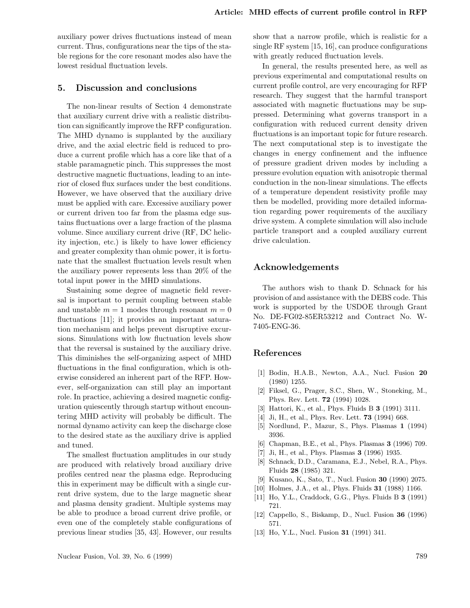auxiliary power drives fluctuations instead of mean current. Thus, configurations near the tips of the stable regions for the core resonant modes also have the lowest residual fluctuation levels.

## **5. Discussion and conclusions**

The non-linear results of Section 4 demonstrate that auxiliary current drive with a realistic distribution can significantly improve the RFP configuration. The MHD dynamo is supplanted by the auxiliary drive, and the axial electric field is reduced to produce a current profile which has a core like that of a stable paramagnetic pinch. This suppresses the most destructive magnetic fluctuations, leading to an interior of closed flux surfaces under the best conditions. However, we have observed that the auxiliary drive must be applied with care. Excessive auxiliary power or current driven too far from the plasma edge sustains fluctuations over a large fraction of the plasma volume. Since auxiliary current drive (RF, DC helicity injection, etc.) is likely to have lower efficiency and greater complexity than ohmic power, it is fortunate that the smallest fluctuation levels result when the auxiliary power represents less than 20% of the total input power in the MHD simulations.

Sustaining some degree of magnetic field reversal is important to permit coupling between stable and unstable  $m = 1$  modes through resonant  $m = 0$ fluctuations [11]; it provides an important saturation mechanism and helps prevent disruptive excursions. Simulations with low fluctuation levels show that the reversal is sustained by the auxiliary drive. This diminishes the self-organizing aspect of MHD fluctuations in the final configuration, which is otherwise considered an inherent part of the RFP. However, self-organization can still play an important role. In practice, achieving a desired magnetic configuration quiescently through startup without encountering MHD activity will probably be difficult. The normal dynamo activity can keep the discharge close to the desired state as the auxiliary drive is applied and tuned.

The smallest fluctuation amplitudes in our study are produced with relatively broad auxiliary drive profiles centred near the plasma edge. Reproducing this in experiment may be difficult with a single current drive system, due to the large magnetic shear and plasma density gradient. Multiple systems may be able to produce a broad current drive profile, or even one of the completely stable configurations of previous linear studies [35, 43]. However, our results show that a narrow profile, which is realistic for a single RF system [15, 16], can produce configurations with greatly reduced fluctuation levels.

In general, the results presented here, as well as previous experimental and computational results on current profile control, are very encouraging for RFP research. They suggest that the harmful transport associated with magnetic fluctuations may be suppressed. Determining what governs transport in a configuration with reduced current density driven fluctuations is an important topic for future research. The next computational step is to investigate the changes in energy confinement and the influence of pressure gradient driven modes by including a pressure evolution equation with anisotropic thermal conduction in the non-linear simulations. The effects of a temperature dependent resistivity profile may then be modelled, providing more detailed information regarding power requirements of the auxiliary drive system. A complete simulation will also include particle transport and a coupled auxiliary current drive calculation.

#### **Acknowledgements**

The authors wish to thank D. Schnack for his provision of and assistance with the DEBS code. This work is supported by the USDOE through Grant No. DE-FG02-85ER53212 and Contract No. W-7405-ENG-36.

## **References**

- [1] Bodin, H.A.B., Newton, A.A., Nucl. Fusion **20** (1980) 1255.
- [2] Fiksel, G., Prager, S.C., Shen, W., Stoneking, M., Phys. Rev. Lett. **72** (1994) 1028.
- [3] Hattori, K., et al., Phys. Fluids B **3** (1991) 3111.
- [4] Ji, H., et al., Phys. Rev. Lett. **73** (1994) 668.
- [5] Nordlund, P., Mazur, S., Phys. Plasmas **1** (1994) 3936.
- [6] Chapman, B.E., et al., Phys. Plasmas **3** (1996) 709.
- [7] Ji, H., et al., Phys. Plasmas **3** (1996) 1935.
- [8] Schnack, D.D., Caramana, E.J., Nebel, R.A., Phys. Fluids **28** (1985) 321.
- [9] Kusano, K., Sato, T., Nucl. Fusion **30** (1990) 2075.
- [10] Holmes, J.A., et al., Phys. Fluids **31** (1988) 1166.
- [11] Ho, Y.L., Craddock, G.G., Phys. Fluids B **3** (1991) 721.
- [12] Cappello, S., Biskamp, D., Nucl. Fusion **36** (1996) 571.
- [13] Ho, Y.L., Nucl. Fusion **31** (1991) 341.